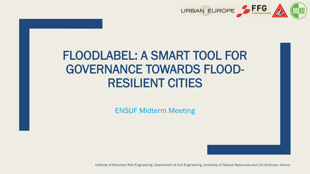

# FLOODLABEL: A SMART TOOL FOR GOVERNANCE TOWARDS FLOOD-RESILIENT CITIES

ENSUF Midterm Meeting

Institute of Mountain Risk Engineering, Department of Civil Engineering, University of Natural Resources and Life Sciences, Vienna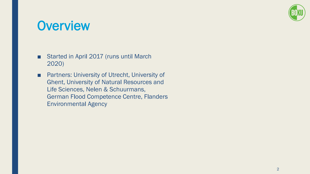

### **Overview**

- Started in April 2017 (runs until March 2020)
- Partners: University of Utrecht, University of Ghent, University of Natural Resources and Life Sciences, Nelen & Schuurmans, German Flood Competence Centre, Flanders Environmental Agency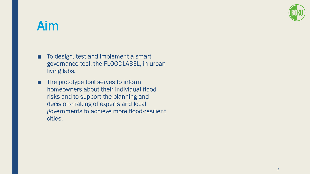

# Aim

- To design, test and implement a smart governance tool, the FLOODLABEL, in urban living labs.
- The prototype tool serves to inform homeowners about their individual flood risks and to support the planning and decision-making of experts and local governments to achieve more flood-resilient cities.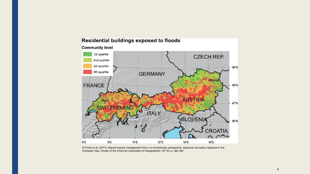

#### Residential buildings exposed to floods

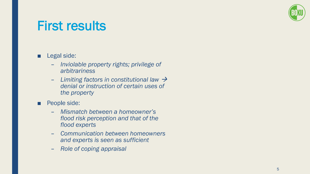

### First results

### ■ Legal side:

- *Inviolable property rights; privilege of arbitrariness*
- *Limiting factors in constitutional law* → *denial or instruction of certain uses of the property*
- People side:
	- *Mismatch between a homeowner's flood risk perception and that of the flood experts*
	- *Communication between homeowners and experts is seen as sufficient*
	- *Role of coping appraisal*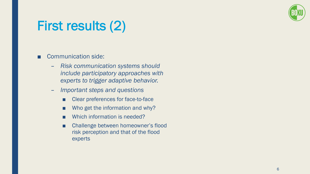

# First results (2)

#### ■ Communication side:

- *Risk communication systems should include participatory approaches with experts to trigger adaptive behavior.*
- *Important steps and questions*
	- Clear preferences for face-to-face
	- Who get the information and why?
	- Which information is needed?
	- Challenge between homeowner's flood risk perception and that of the flood experts